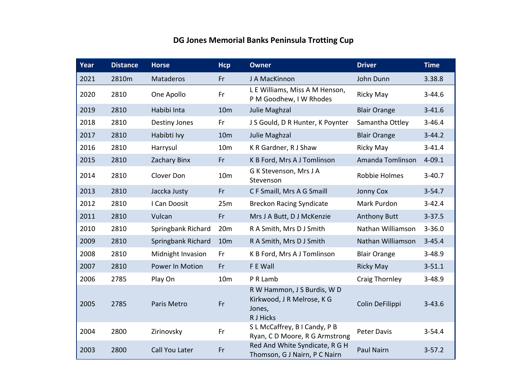## **DG Jones Memorial Banks Peninsula Trotting Cup**

| Year | <b>Distance</b> | <b>Horse</b>         | <b>Hcp</b>      | <b>Owner</b>                                                                     | <b>Driver</b>       | <b>Time</b> |
|------|-----------------|----------------------|-----------------|----------------------------------------------------------------------------------|---------------------|-------------|
| 2021 | 2810m           | Mataderos            | Fr              | J A MacKinnon                                                                    | John Dunn           | 3.38.8      |
| 2020 | 2810            | One Apollo           | Fr              | L E Williams, Miss A M Henson,<br>P M Goodhew, I W Rhodes                        | <b>Ricky May</b>    | $3 - 44.6$  |
| 2019 | 2810            | Habibi Inta          | 10 <sub>m</sub> | Julie Maghzal                                                                    | <b>Blair Orange</b> | $3 - 41.6$  |
| 2018 | 2810            | <b>Destiny Jones</b> | Fr              | J S Gould, D R Hunter, K Poynter                                                 | Samantha Ottley     | $3 - 46.4$  |
| 2017 | 2810            | Habibti Ivy          | 10 <sub>m</sub> | Julie Maghzal                                                                    | <b>Blair Orange</b> | $3 - 44.2$  |
| 2016 | 2810            | Harrysul             | 10 <sub>m</sub> | K R Gardner, R J Shaw                                                            | Ricky May           | $3 - 41.4$  |
| 2015 | 2810            | Zachary Binx         | Fr              | K B Ford, Mrs A J Tomlinson                                                      | Amanda Tomlinson    | $4 - 09.1$  |
| 2014 | 2810            | Clover Don           | 10 <sub>m</sub> | G K Stevenson, Mrs J A<br>Stevenson                                              | Robbie Holmes       | $3 - 40.7$  |
| 2013 | 2810            | Jaccka Justy         | Fr              | C F Smaill, Mrs A G Smaill                                                       | <b>Jonny Cox</b>    | $3 - 54.7$  |
| 2012 | 2810            | I Can Doosit         | 25m             | <b>Breckon Racing Syndicate</b>                                                  | Mark Purdon         | $3 - 42.4$  |
| 2011 | 2810            | Vulcan               | Fr              | Mrs J A Butt, D J McKenzie                                                       | <b>Anthony Butt</b> | $3 - 37.5$  |
| 2010 | 2810            | Springbank Richard   | 20m             | R A Smith, Mrs D J Smith                                                         | Nathan Williamson   | $3 - 36.0$  |
| 2009 | 2810            | Springbank Richard   | 10 <sub>m</sub> | R A Smith, Mrs D J Smith                                                         | Nathan Williamson   | $3 - 45.4$  |
| 2008 | 2810            | Midnight Invasion    | Fr              | K B Ford, Mrs A J Tomlinson                                                      | <b>Blair Orange</b> | $3 - 48.9$  |
| 2007 | 2810            | Power In Motion      | Fr              | F E Wall                                                                         | <b>Ricky May</b>    | $3 - 51.1$  |
| 2006 | 2785            | Play On              | 10 <sub>m</sub> | P R Lamb                                                                         | Craig Thornley      | $3 - 48.9$  |
| 2005 | 2785            | Paris Metro          | Fr              | R W Hammon, J S Burdis, W D<br>Kirkwood, J R Melrose, K G<br>Jones,<br>R J Hicks | Colin DeFilippi     | $3 - 43.6$  |
| 2004 | 2800            | Zirinovsky           | Fr              | S L McCaffrey, B I Candy, P B<br>Ryan, CD Moore, RG Armstrong                    | <b>Peter Davis</b>  | $3 - 54.4$  |
| 2003 | 2800            | Call You Later       | Fr              | Red And White Syndicate, R G H<br>Thomson, G J Nairn, P C Nairn                  | <b>Paul Nairn</b>   | $3 - 57.2$  |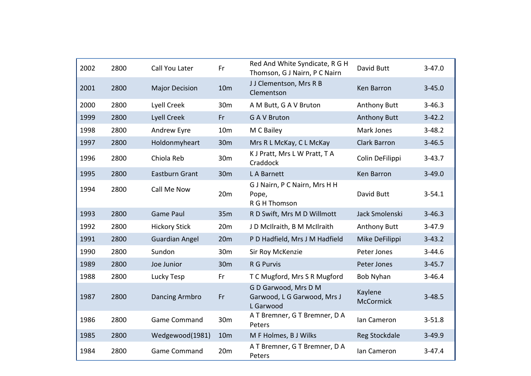| 2002 | 2800 | Call You Later        | Fr              | Red And White Syndicate, R G H<br>Thomson, G J Nairn, P C Nairn  | David Butt                  | $3 - 47.0$ |
|------|------|-----------------------|-----------------|------------------------------------------------------------------|-----------------------------|------------|
| 2001 | 2800 | <b>Major Decision</b> | 10 <sub>m</sub> | JJ Clementson, Mrs R B<br>Clementson                             | Ken Barron                  | $3 - 45.0$ |
| 2000 | 2800 | Lyell Creek           | 30 <sub>m</sub> | A M Butt, G A V Bruton                                           | <b>Anthony Butt</b>         | $3 - 46.3$ |
| 1999 | 2800 | Lyell Creek           | Fr              | <b>GAV Bruton</b>                                                | <b>Anthony Butt</b>         | $3 - 42.2$ |
| 1998 | 2800 | Andrew Eyre           | 10 <sub>m</sub> | M C Bailey                                                       | Mark Jones                  | $3 - 48.2$ |
| 1997 | 2800 | Holdonmyheart         | 30 <sub>m</sub> | Mrs R L McKay, C L McKay                                         | <b>Clark Barron</b>         | $3 - 46.5$ |
| 1996 | 2800 | Chiola Reb            | 30 <sub>m</sub> | K J Pratt, Mrs L W Pratt, T A<br>Craddock                        | Colin DeFilippi             | $3 - 43.7$ |
| 1995 | 2800 | <b>Eastburn Grant</b> | 30 <sub>m</sub> | L A Barnett                                                      | Ken Barron                  | $3 - 49.0$ |
| 1994 | 2800 | Call Me Now           | 20m             | G J Nairn, P C Nairn, Mrs H H<br>Pope,<br>R G H Thomson          | David Butt                  | $3 - 54.1$ |
| 1993 | 2800 | <b>Game Paul</b>      | 35m             | R D Swift, Mrs M D Willmott                                      | Jack Smolenski              | $3 - 46.3$ |
| 1992 | 2800 | <b>Hickory Stick</b>  | 20m             | J D McIlraith, B M McIlraith                                     | <b>Anthony Butt</b>         | $3 - 47.9$ |
| 1991 | 2800 | <b>Guardian Angel</b> | 20m             | P D Hadfield, Mrs J M Hadfield                                   | Mike DeFilippi              | $3 - 43.2$ |
| 1990 | 2800 | Sundon                | 30m             | Sir Roy McKenzie                                                 | Peter Jones                 | $3 - 44.6$ |
| 1989 | 2800 | Joe Junior            | 30 <sub>m</sub> | R G Purvis                                                       | Peter Jones                 | $3 - 45.7$ |
| 1988 | 2800 | Lucky Tesp            | Fr              | T C Mugford, Mrs S R Mugford                                     | <b>Bob Nyhan</b>            | $3 - 46.4$ |
| 1987 | 2800 | Dancing Armbro        | Fr              | G D Garwood, Mrs D M<br>Garwood, L G Garwood, Mrs J<br>L Garwood | Kaylene<br><b>McCormick</b> | $3 - 48.5$ |
| 1986 | 2800 | <b>Game Command</b>   | 30m             | A T Bremner, G T Bremner, D A<br>Peters                          | Ian Cameron                 | $3 - 51.8$ |
| 1985 | 2800 | Wedgewood(1981)       | 10 <sub>m</sub> | M F Holmes, B J Wilks                                            | Reg Stockdale               | $3 - 49.9$ |
| 1984 | 2800 | <b>Game Command</b>   | 20m             | A T Bremner, G T Bremner, D A<br>Peters                          | Ian Cameron                 | $3 - 47.4$ |